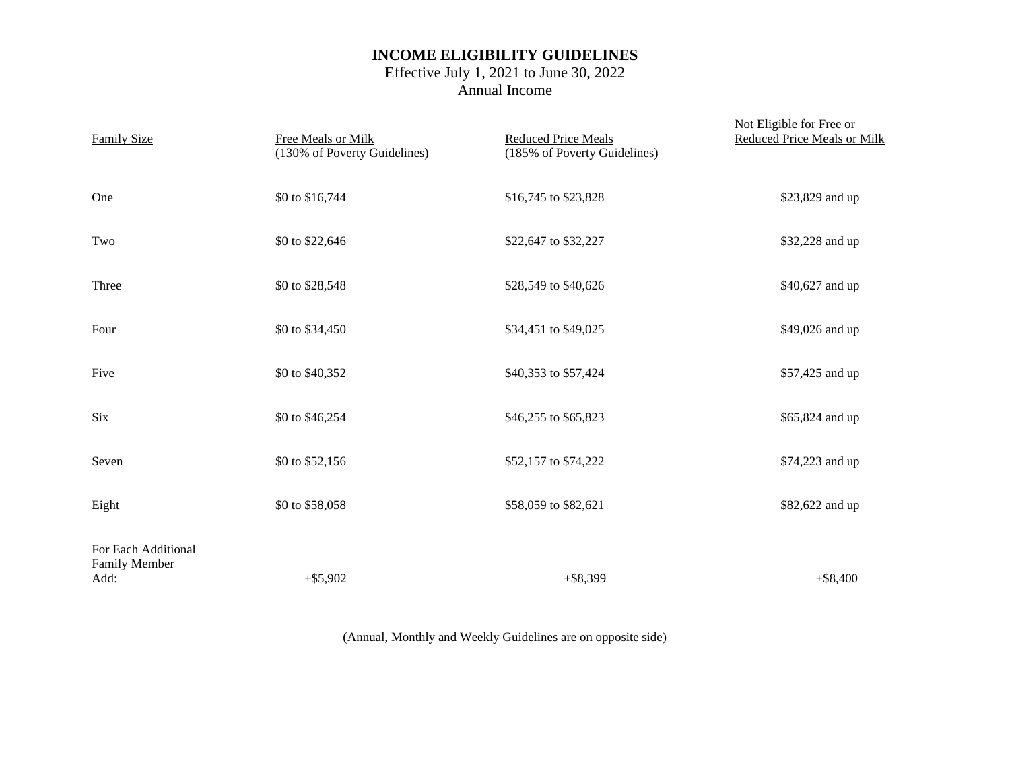## **INCOME ELIGIBILITY GUIDELINES**

## Effective July 1, 2021 to June 30, 2022 Annual Income

| <b>Family Size</b>                                  | Free Meals or Milk<br>(130% of Poverty Guidelines) | <b>Reduced Price Meals</b><br>(185% of Poverty Guidelines) | Not Eligible for Free or<br><b>Reduced Price Meals or Milk</b> |  |
|-----------------------------------------------------|----------------------------------------------------|------------------------------------------------------------|----------------------------------------------------------------|--|
| One                                                 | \$0 to \$16,744                                    | \$16,745 to \$23,828                                       | \$23,829 and up                                                |  |
| Two                                                 | \$0 to \$22,646                                    | \$22,647 to \$32,227                                       | \$32,228 and up                                                |  |
| Three                                               | \$0 to \$28,548                                    | \$28,549 to \$40,626                                       | \$40,627 and up                                                |  |
| Four                                                | \$0 to \$34,450                                    | \$34,451 to \$49,025                                       | \$49,026 and up                                                |  |
| Five                                                | \$0 to \$40,352                                    | \$40,353 to \$57,424                                       | \$57,425 and up                                                |  |
| <b>Six</b>                                          | \$0 to \$46,254                                    | \$46,255 to \$65,823                                       | \$65,824 and up                                                |  |
| Seven                                               | \$0 to \$52,156                                    | \$52,157 to \$74,222                                       | \$74,223 and up                                                |  |
| Eight                                               | \$0 to \$58,058                                    | \$58,059 to \$82,621                                       | \$82,622 and up                                                |  |
| For Each Additional<br><b>Family Member</b><br>Add: | $+$ \$5,902                                        | $+$ \$8,399                                                | $+$ \$8,400                                                    |  |

(Annual, Monthly and Weekly Guidelines are on opposite side)